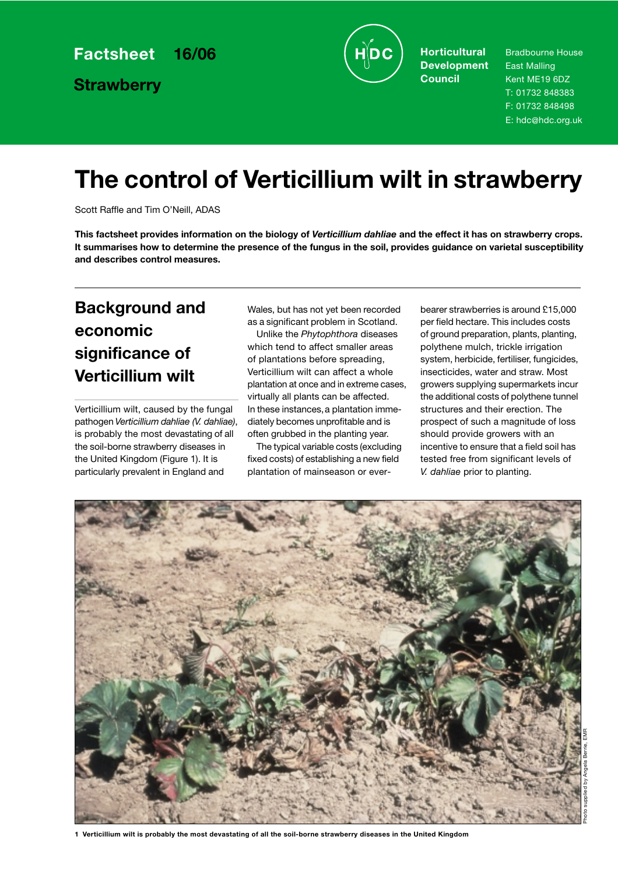**Strawberry**



**Horticultural Development Council**

Bradbourne House East Malling Kent ME19 6DZ T: 01732 848383 F: 01732 848498 E: hdc@hdc.org.uk

# **The control of Verticillium wilt in strawberry**

Scott Raffle and Tim O'Neill, ADAS

**This factsheet provides information on the biology of** *Verticillium dahliae* **and the effect it has on strawberry crops. It summarises how to determine the presence of the fungus in the soil, provides guidance on varietal susceptibility and describes control measures.**

### **Background and economic significance of Verticillium wilt**

Verticillium wilt, caused by the fungal pathogen *Verticillium dahliae (V. dahliae)*, is probably the most devastating of all the soil-borne strawberry diseases in the United Kingdom (Figure 1). It is particularly prevalent in England and

Wales, but has not yet been recorded as a significant problem in Scotland.

Unlike the *Phytophthora* diseases which tend to affect smaller areas of plantations before spreading, Verticillium wilt can affect a whole plantation at once and in extreme cases, virtually all plants can be affected. In these instances,a plantation immediately becomes unprofitable and is often grubbed in the planting year.

The typical variable costs (excluding fixed costs) of establishing a new field plantation of mainseason or everbearer strawberries is around £15,000 per field hectare. This includes costs of ground preparation, plants, planting, polythene mulch, trickle irrigation system, herbicide, fertiliser, fungicides, insecticides, water and straw. Most growers supplying supermarkets incur the additional costs of polythene tunnel structures and their erection. The prospect of such a magnitude of loss should provide growers with an incentive to ensure that a field soil has tested free from significant levels of *V. dahliae* prior to planting.

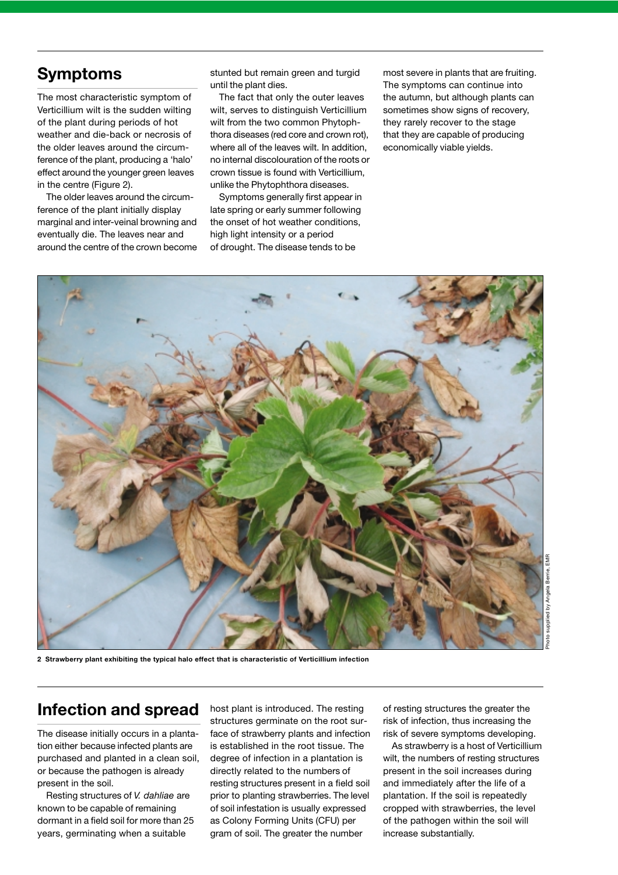### **Symptoms**

The most characteristic symptom of Verticillium wilt is the sudden wilting of the plant during periods of hot weather and die-back or necrosis of the older leaves around the circumference of the plant, producing a 'halo' effect around the younger green leaves in the centre (Figure 2).

The older leaves around the circumference of the plant initially display marginal and inter-veinal browning and eventually die. The leaves near and around the centre of the crown become stunted but remain green and turgid until the plant dies.

The fact that only the outer leaves wilt, serves to distinguish Verticillium wilt from the two common Phytophthora diseases (red core and crown rot), where all of the leaves wilt. In addition, no internal discolouration of the roots or crown tissue is found with Verticillium, unlike the Phytophthora diseases.

Symptoms generally first appear in late spring or early summer following the onset of hot weather conditions, high light intensity or a period of drought. The disease tends to be

most severe in plants that are fruiting. The symptoms can continue into the autumn, but although plants can sometimes show signs of recovery. they rarely recover to the stage that they are capable of producing economically viable yields.



**2 Strawberry plant exhibiting the typical halo effect that is characteristic of Verticillium infection**

### **Infection and spread**

The disease initially occurs in a plantation either because infected plants are purchased and planted in a clean soil, or because the pathogen is already present in the soil.

Resting structures of *V. dahliae* are known to be capable of remaining dormant in a field soil for more than 25 years, germinating when a suitable

host plant is introduced. The resting structures germinate on the root surface of strawberry plants and infection is established in the root tissue. The degree of infection in a plantation is directly related to the numbers of resting structures present in a field soil prior to planting strawberries. The level of soil infestation is usually expressed as Colony Forming Units (CFU) per gram of soil. The greater the number

of resting structures the greater the risk of infection, thus increasing the risk of severe symptoms developing.

As strawberry is a host of Verticillium wilt, the numbers of resting structures present in the soil increases during and immediately after the life of a plantation. If the soil is repeatedly cropped with strawberries, the level of the pathogen within the soil will increase substantially.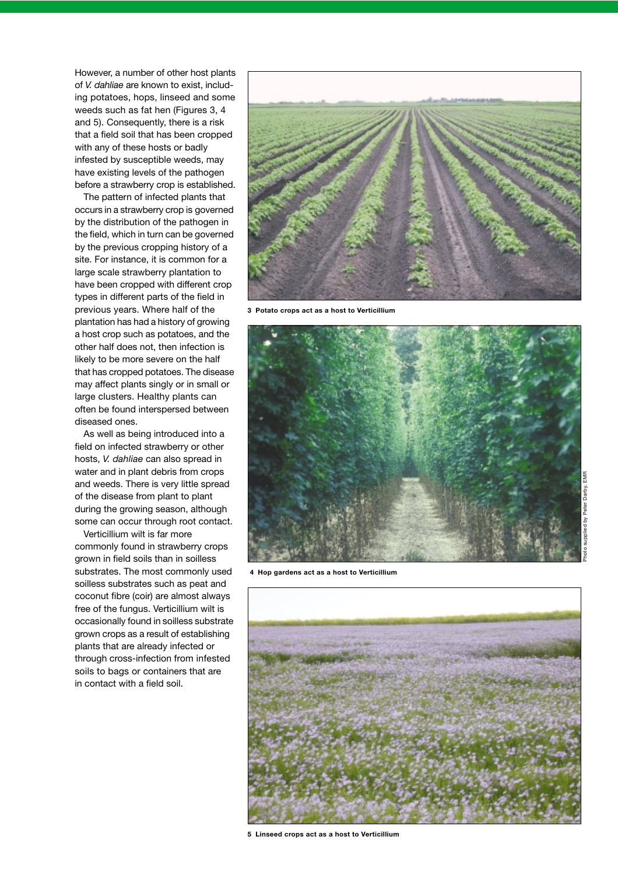However, a number of other host plants of *V. dahliae* are known to exist, including potatoes, hops, linseed and some weeds such as fat hen (Figures 3, 4) and 5). Consequently, there is a risk that a field soil that has been cropped with any of these hosts or badly infested by susceptible weeds, may have existing levels of the pathogen before a strawberry crop is established.

The pattern of infected plants that occurs in a strawberry crop is governed by the distribution of the pathogen in the field, which in turn can be governed by the previous cropping history of a site. For instance, it is common for a large scale strawberry plantation to have been cropped with different crop types in different parts of the field in previous years. Where half of the plantation has had a history of growing a host crop such as potatoes, and the other half does not, then infection is likely to be more severe on the half that has cropped potatoes. The disease may affect plants singly or in small or large clusters. Healthy plants can often be found interspersed between diseased ones.

As well as being introduced into a field on infected strawberry or other hosts, *V. dahliae* can also spread in water and in plant debris from crops and weeds. There is very little spread of the disease from plant to plant during the growing season, although some can occur through root contact.

Verticillium wilt is far more commonly found in strawberry crops grown in field soils than in soilless substrates. The most commonly used soilless substrates such as peat and coconut fibre (coir) are almost always free of the fungus. Verticillium wilt is occasionally found in soilless substrate grown crops as a result of establishing plants that are already infected or through cross-infection from infested soils to bags or containers that are in contact with a field soil.



**3 Potato crops act as a host to Verticillium**



**4 Hop gardens act as a host to Verticillium**



**5 Linseed crops act as a host to Verticillium**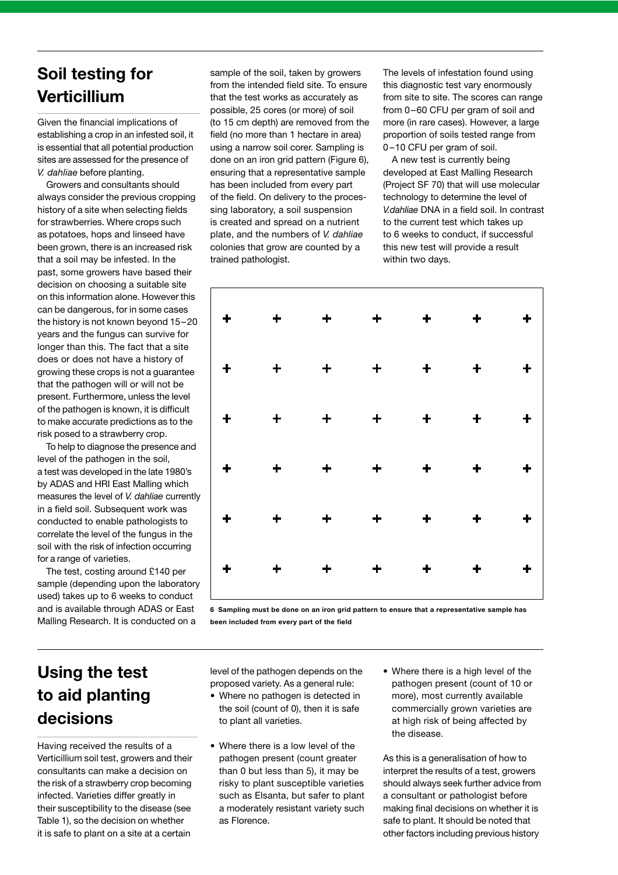### **Soil testing for Verticillium**

Given the financial implications of establishing a crop in an infested soil, it is essential that all potential production sites are assessed for the presence of *V. dahliae* before planting.

Growers and consultants should always consider the previous cropping history of a site when selecting fields for strawberries. Where crops such as potatoes, hops and linseed have been grown, there is an increased risk that a soil may be infested. In the past, some growers have based their decision on choosing a suitable site on this information alone. However this can be dangerous, for in some cases the history is not known beyond 15–20 years and the fungus can survive for longer than this. The fact that a site does or does not have a history of growing these crops is not a guarantee that the pathogen will or will not be present. Furthermore, unless the level of the pathogen is known, it is difficult to make accurate predictions as to the risk posed to a strawberry crop.

To help to diagnose the presence and level of the pathogen in the soil, a test was developed in the late 1980's by ADAS and HRI East Malling which measures the level of *V. dahliae* currently in a field soil. Subsequent work was conducted to enable pathologists to correlate the level of the fungus in the soil with the risk of infection occurring for a range of varieties.

The test, costing around £140 per sample (depending upon the laboratory used) takes up to 6 weeks to conduct and is available through ADAS or East Malling Research. It is conducted on a

sample of the soil, taken by growers from the intended field site. To ensure that the test works as accurately as possible, 25 cores (or more) of soil (to 15 cm depth) are removed from the field (no more than 1 hectare in area) using a narrow soil corer. Sampling is done on an iron grid pattern (Figure 6), ensuring that a representative sample has been included from every part of the field. On delivery to the processing laboratory, a soil suspension is created and spread on a nutrient plate, and the numbers of *V. dahliae* colonies that grow are counted by a trained pathologist.

The levels of infestation found using this diagnostic test vary enormously from site to site. The scores can range from 0-60 CFU per gram of soil and more (in rare cases). However, a large proportion of soils tested range from 0 –10 CFU per gram of soil.

A new test is currently being developed at East Malling Research (Project SF 70) that will use molecular technology to determine the level of *V.dahliae* DNA in a field soil. In contrast to the current test which takes up to 6 weeks to conduct, if successful this new test will provide a result within two days.



**6 Sampling must be done on an iron grid pattern to ensure that a representative sample has been included from every part of the field**

## **Using the test to aid planting decisions**

Having received the results of a Verticillium soil test, growers and their consultants can make a decision on the risk of a strawberry crop becoming infected. Varieties differ greatly in their susceptibility to the disease (see Table 1), so the decision on whether it is safe to plant on a site at a certain

level of the pathogen depends on the proposed variety. As a general rule:

- Where no pathogen is detected in the soil (count of 0), then it is safe to plant all varieties.
- Where there is a low level of the pathogen present (count greater than 0 but less than 5), it may be risky to plant susceptible varieties such as Elsanta, but safer to plant a moderately resistant variety such as Florence.
- Where there is a high level of the pathogen present (count of 10 or more), most currently available commercially grown varieties are at high risk of being affected by the disease.

As this is a generalisation of how to interpret the results of a test, growers should always seek further advice from a consultant or pathologist before making final decisions on whether it is safe to plant. It should be noted that other factors including previous history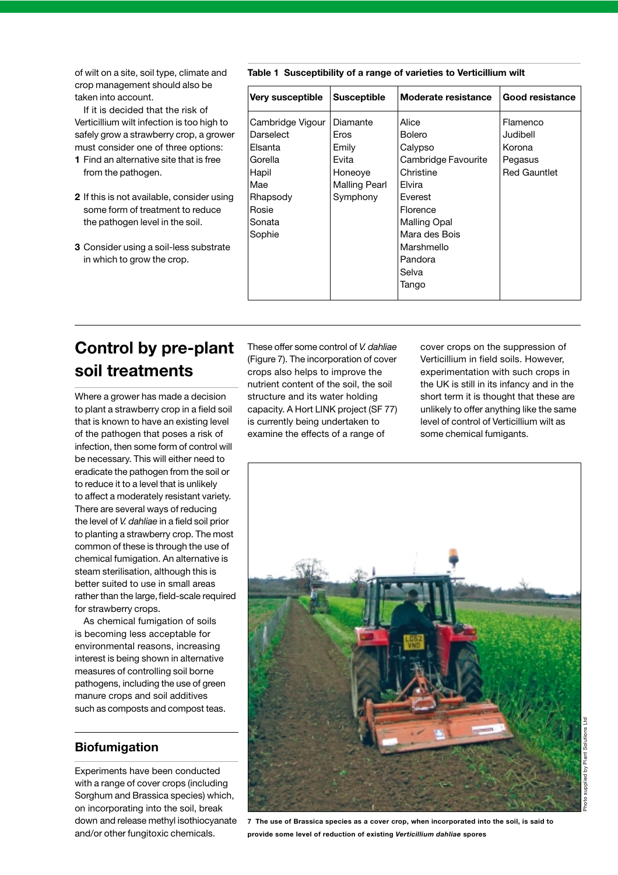of wilt on a site, soil type, climate and crop management should also be taken into account.

If it is decided that the risk of Verticillium wilt infection is too high to safely grow a strawberry crop, a grower must consider one of three options:

- **1** Find an alternative site that is free from the pathogen.
- **2** If this is not available, consider using some form of treatment to reduce the pathogen level in the soil.
- **3** Consider using a soil-less substrate in which to grow the crop.

**Table 1 Susceptibility of a range of varieties to Verticillium wilt**

| Very susceptible                                                                                             | <b>Susceptible</b>                                                                | Moderate resistance                                                                                                                                                              | <b>Good resistance</b>                                           |
|--------------------------------------------------------------------------------------------------------------|-----------------------------------------------------------------------------------|----------------------------------------------------------------------------------------------------------------------------------------------------------------------------------|------------------------------------------------------------------|
| Cambridge Vigour<br>Darselect<br>Elsanta<br>Gorella<br>Hapil<br>Mae<br>Rhapsody<br>Rosie<br>Sonata<br>Sophie | Diamante<br>Eros<br>Emily<br>Evita<br>Honeoye<br><b>Malling Pearl</b><br>Symphony | Alice<br><b>Bolero</b><br>Calypso<br>Cambridge Favourite<br>Christine<br>Elvira<br><b>Fverest</b><br>Florence<br>Malling Opal<br>Mara des Bois<br>Marshmello<br>Pandora<br>Selva | Flamenco<br>Judibell<br>Korona<br>Pegasus<br><b>Red Gauntlet</b> |
|                                                                                                              |                                                                                   | Tango                                                                                                                                                                            |                                                                  |

## **Control by pre-plant soil treatments**

Where a grower has made a decision to plant a strawberry crop in a field soil that is known to have an existing level of the pathogen that poses a risk of infection, then some form of control will be necessary. This will either need to eradicate the pathogen from the soil or to reduce it to a level that is unlikely to affect a moderately resistant variety. There are several ways of reducing the level of *V. dahliae* in a field soil prior to planting a strawberry crop. The most common of these is through the use of chemical fumigation. An alternative is steam sterilisation, although this is better suited to use in small areas rather than the large, field-scale required for strawberry crops.

As chemical fumigation of soils is becoming less acceptable for environmental reasons, increasing interest is being shown in alternative measures of controlling soil borne pathogens, including the use of green manure crops and soil additives such as composts and compost teas.

#### **Biofumigation**

Experiments have been conducted with a range of cover crops (including Sorghum and Brassica species) which, on incorporating into the soil, break down and release methyl isothiocyanate and/or other fungitoxic chemicals.

These offer some control of *V. dahliae* (Figure 7). The incorporation of cover crops also helps to improve the nutrient content of the soil, the soil structure and its water holding capacity. A Hort LINK project (SF 77) is currently being undertaken to examine the effects of a range of

cover crops on the suppression of Verticillium in field soils. However, experimentation with such crops in the UK is still in its infancy and in the short term it is thought that these are unlikely to offer anything like the same level of control of Verticillium wilt as some chemical fumigants.



**7 The use of Brassica species as a cover crop, when incorporated into the soil, is said to provide some level of reduction of existing** *Verticillium dahliae* **spores**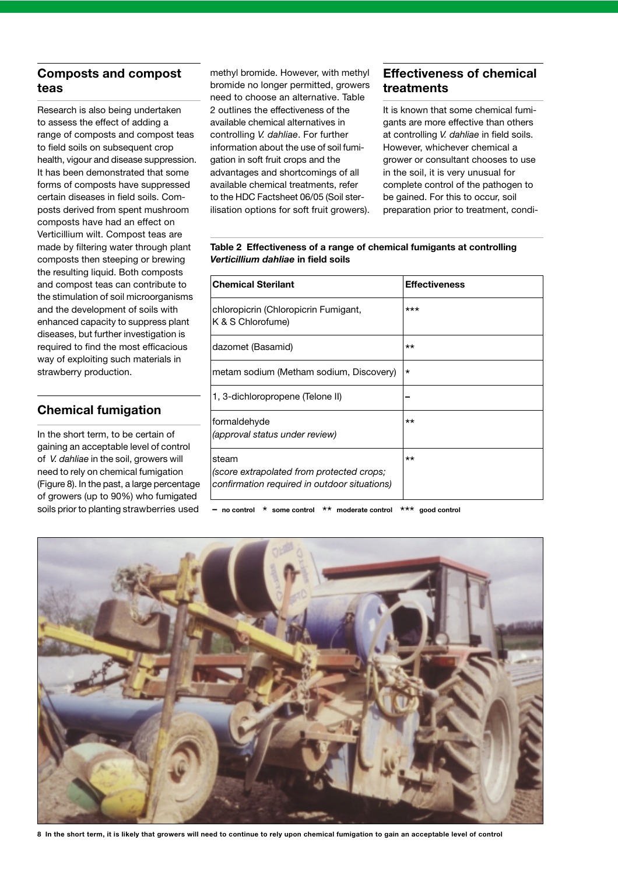### **Composts and compost teas**

Research is also being undertaken to assess the effect of adding a range of composts and compost teas to field soils on subsequent crop health, vigour and disease suppression. It has been demonstrated that some forms of composts have suppressed certain diseases in field soils. Composts derived from spent mushroom composts have had an effect on Verticillium wilt. Compost teas are made by filtering water through plant composts then steeping or brewing the resulting liquid. Both composts and compost teas can contribute to the stimulation of soil microorganisms and the development of soils with enhanced capacity to suppress plant diseases, but further investigation is required to find the most efficacious way of exploiting such materials in strawberry production.

### **Chemical fumigation**

In the short term, to be certain of gaining an acceptable level of control of *V. dahliae* in the soil, growers will need to rely on chemical fumigation (Figure 8). In the past, a large percentage of growers (up to 90%) who fumigated soils prior to planting strawberries used methyl bromide. However, with methyl bromide no longer permitted, growers need to choose an alternative. Table 2 outlines the effectiveness of the available chemical alternatives in controlling *V. dahliae*. For further information about the use of soil fumigation in soft fruit crops and the advantages and shortcomings of all available chemical treatments, refer to the HDC Factsheet 06/05 (Soil sterilisation options for soft fruit growers).

### **Effectiveness of chemical treatments**

It is known that some chemical fumigants are more effective than others at controlling *V. dahliae* in field soils. However, whichever chemical a grower or consultant chooses to use in the soil, it is very unusual for complete control of the pathogen to be gained. For this to occur, soil preparation prior to treatment, condi-

**Table 2 Effectiveness of a range of chemical fumigants at controlling** *Verticillium dahliae* **in field soils**

| <b>Chemical Sterilant</b>                                                                          | <b>Effectiveness</b> |
|----------------------------------------------------------------------------------------------------|----------------------|
| chloropicrin (Chloropicrin Fumigant,<br>K & S Chlorofume)                                          | $***$                |
| dazomet (Basamid)                                                                                  | $***$                |
| metam sodium (Metham sodium, Discovery)                                                            | $\star$              |
| 1, 3-dichloropropene (Telone II)                                                                   |                      |
| formaldehyde<br>(approval status under review)                                                     | $***$                |
| steam<br>(score extrapolated from protected crops;<br>confirmation required in outdoor situations) | $***$                |

**– no control** \* **some control** \*\* **moderate control** \*\*\* **good control**



**8 In the short term, it is likely that growers will need to continue to rely upon chemical fumigation to gain an acceptable level of control**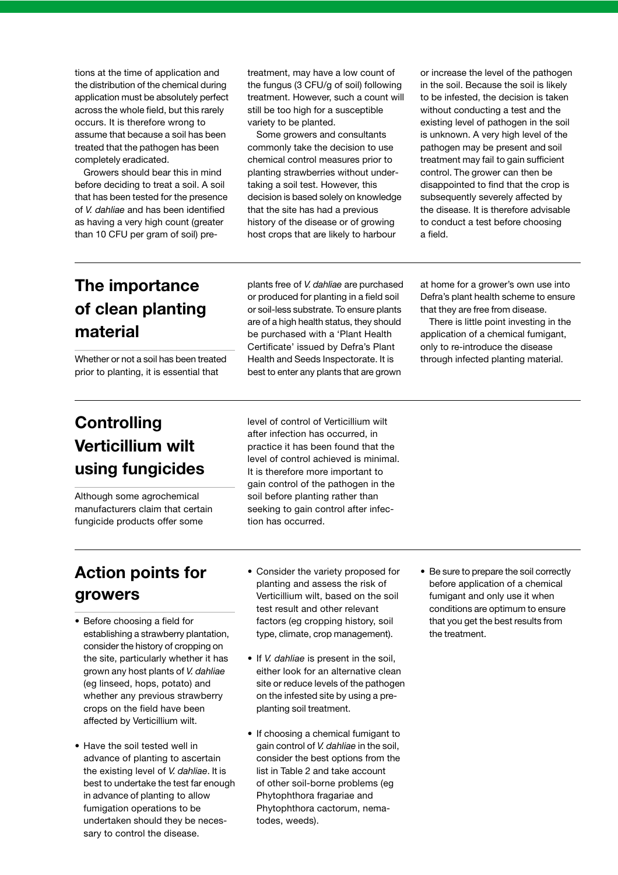tions at the time of application and the distribution of the chemical during application must be absolutely perfect across the whole field, but this rarely occurs. It is therefore wrong to assume that because a soil has been treated that the pathogen has been completely eradicated.

Growers should bear this in mind before deciding to treat a soil. A soil that has been tested for the presence of *V. dahliae* and has been identified as having a very high count (greater than 10 CFU per gram of soil) pretreatment, may have a low count of the fungus (3 CFU/g of soil) following treatment. However, such a count will still be too high for a susceptible variety to be planted.

Some growers and consultants commonly take the decision to use chemical control measures prior to planting strawberries without undertaking a soil test. However, this decision is based solely on knowledge that the site has had a previous history of the disease or of growing host crops that are likely to harbour

or increase the level of the pathogen in the soil. Because the soil is likely to be infested, the decision is taken without conducting a test and the existing level of pathogen in the soil is unknown. A very high level of the pathogen may be present and soil treatment may fail to gain sufficient control. The grower can then be disappointed to find that the crop is subsequently severely affected by the disease. It is therefore advisable to conduct a test before choosing a field.

### **The importance of clean planting material**

Whether or not a soil has been treated prior to planting, it is essential that

plants free of *V. dahliae* are purchased or produced for planting in a field soil or soil-less substrate. To ensure plants are of a high health status, they should be purchased with a 'Plant Health Certificate' issued by Defra's Plant Health and Seeds Inspectorate. It is best to enter any plants that are grown

at home for a grower's own use into Defra's plant health scheme to ensure that they are free from disease.

There is little point investing in the application of a chemical fumigant, only to re-introduce the disease through infected planting material.

## **Controlling Verticillium wilt using fungicides**

Although some agrochemical manufacturers claim that certain fungicide products offer some

level of control of Verticillium wilt after infection has occurred, in practice it has been found that the level of control achieved is minimal. It is therefore more important to gain control of the pathogen in the soil before planting rather than seeking to gain control after infection has occurred.

## **Action points for growers**

- Before choosing a field for establishing a strawberry plantation, consider the history of cropping on the site, particularly whether it has grown any host plants of *V. dahliae* (eg linseed, hops, potato) and whether any previous strawberry crops on the field have been affected by Verticillium wilt.
- Have the soil tested well in advance of planting to ascertain the existing level of *V. dahliae*. It is best to undertake the test far enough in advance of planting to allow fumigation operations to be undertaken should they be necessary to control the disease.
- Consider the variety proposed for planting and assess the risk of Verticillium wilt, based on the soil test result and other relevant factors (eg cropping history, soil type, climate, crop management).
- If *V. dahliae* is present in the soil, either look for an alternative clean site or reduce levels of the pathogen on the infested site by using a preplanting soil treatment.
- If choosing a chemical fumigant to gain control of *V. dahliae* in the soil, consider the best options from the list in Table 2 and take account of other soil-borne problems (eg Phytophthora fragariae and Phytophthora cactorum, nematodes, weeds).

• Be sure to prepare the soil correctly before application of a chemical fumigant and only use it when conditions are optimum to ensure that you get the best results from the treatment.